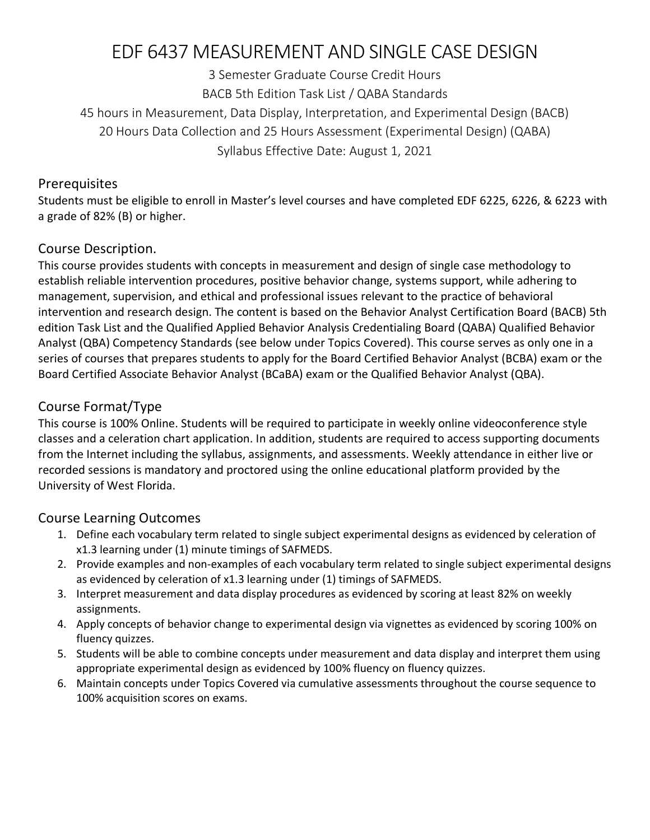# EDF 6437 MEASUREMENT AND SINGLE CASE DESIGN

3 Semester Graduate Course Credit Hours BACB 5th Edition Task List / QABA Standards 45 hours in Measurement, Data Display, Interpretation, and Experimental Design (BACB) 20 Hours Data Collection and 25 Hours Assessment (Experimental Design) (QABA) Syllabus Effective Date: August 1, 2021

#### Prerequisites

Students must be eligible to enroll in Master's level courses and have completed EDF 6225, 6226, & 6223 with a grade of 82% (B) or higher.

# Course Description.

This course provides students with concepts in measurement and design of single case methodology to establish reliable intervention procedures, positive behavior change, systems support, while adhering to management, supervision, and ethical and professional issues relevant to the practice of behavioral intervention and research design. The content is based on the Behavior Analyst Certification Board (BACB) 5th edition Task List and the Qualified Applied Behavior Analysis Credentialing Board (QABA) Qualified Behavior Analyst (QBA) Competency Standards (see below under Topics Covered). This course serves as only one in a series of courses that prepares students to apply for the Board Certified Behavior Analyst (BCBA) exam or the Board Certified Associate Behavior Analyst (BCaBA) exam or the Qualified Behavior Analyst (QBA).

# Course Format/Type

This course is 100% Online. Students will be required to participate in weekly online videoconference style classes and a celeration chart application. In addition, students are required to access supporting documents from the Internet including the syllabus, assignments, and assessments. Weekly attendance in either live or recorded sessions is mandatory and proctored using the online educational platform provided by the University of West Florida.

# Course Learning Outcomes

- 1. Define each vocabulary term related to single subject experimental designs as evidenced by celeration of x1.3 learning under (1) minute timings of SAFMEDS.
- 2. Provide examples and non-examples of each vocabulary term related to single subject experimental designs as evidenced by celeration of x1.3 learning under (1) timings of SAFMEDS.
- 3. Interpret measurement and data display procedures as evidenced by scoring at least 82% on weekly assignments.
- 4. Apply concepts of behavior change to experimental design via vignettes as evidenced by scoring 100% on fluency quizzes.
- 5. Students will be able to combine concepts under measurement and data display and interpret them using appropriate experimental design as evidenced by 100% fluency on fluency quizzes.
- 6. Maintain concepts under Topics Covered via cumulative assessments throughout the course sequence to 100% acquisition scores on exams.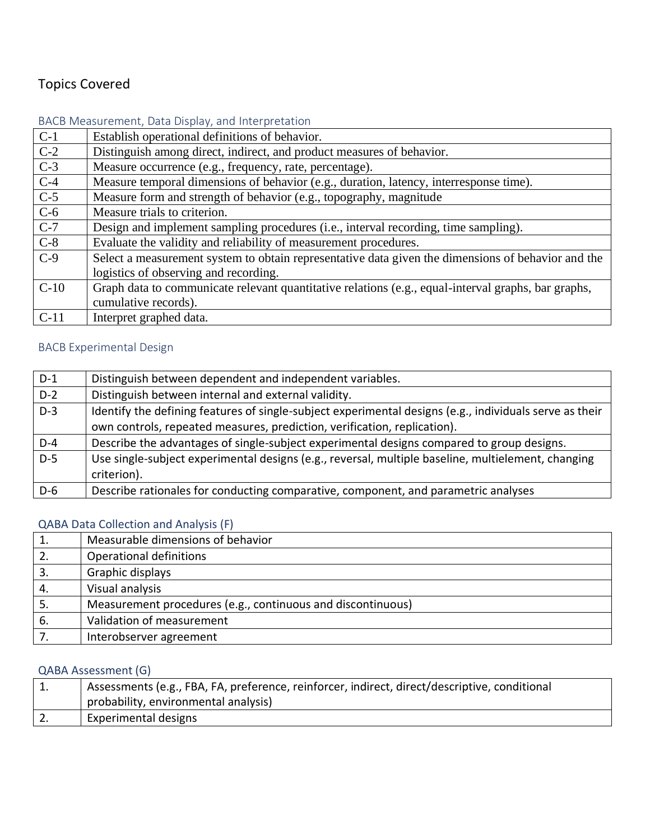# Topics Covered

#### BACB Measurement, Data Display, and Interpretation

| $C-1$  | Establish operational definitions of behavior.                                                      |
|--------|-----------------------------------------------------------------------------------------------------|
| $C-2$  | Distinguish among direct, indirect, and product measures of behavior.                               |
| $C-3$  | Measure occurrence (e.g., frequency, rate, percentage).                                             |
| $C-4$  | Measure temporal dimensions of behavior (e.g., duration, latency, interresponse time).              |
| $C-5$  | Measure form and strength of behavior (e.g., topography, magnitude                                  |
| $C-6$  | Measure trials to criterion.                                                                        |
| $C-7$  | Design and implement sampling procedures (i.e., interval recording, time sampling).                 |
| $C-8$  | Evaluate the validity and reliability of measurement procedures.                                    |
| $C-9$  | Select a measurement system to obtain representative data given the dimensions of behavior and the  |
|        | logistics of observing and recording.                                                               |
| $C-10$ | Graph data to communicate relevant quantitative relations (e.g., equal-interval graphs, bar graphs, |
|        | cumulative records).                                                                                |
| $C-11$ | Interpret graphed data.                                                                             |

# BACB Experimental Design

| $D-1$ | Distinguish between dependent and independent variables.                                                |
|-------|---------------------------------------------------------------------------------------------------------|
| $D-2$ | Distinguish between internal and external validity.                                                     |
| $D-3$ | Identify the defining features of single-subject experimental designs (e.g., individuals serve as their |
|       | own controls, repeated measures, prediction, verification, replication).                                |
| $D-4$ | Describe the advantages of single-subject experimental designs compared to group designs.               |
| $D-5$ | Use single-subject experimental designs (e.g., reversal, multiple baseline, multielement, changing      |
|       | criterion).                                                                                             |
| $D-6$ | Describe rationales for conducting comparative, component, and parametric analyses                      |

#### QABA Data Collection and Analysis (F)

| 1. | Measurable dimensions of behavior                           |
|----|-------------------------------------------------------------|
| 2. | Operational definitions                                     |
|    | Graphic displays                                            |
| 4. | Visual analysis                                             |
| 5. | Measurement procedures (e.g., continuous and discontinuous) |
| 6. | Validation of measurement                                   |
|    | Interobserver agreement                                     |

#### QABA Assessment (G)

| L. | Assessments (e.g., FBA, FA, preference, reinforcer, indirect, direct/descriptive, conditional |
|----|-----------------------------------------------------------------------------------------------|
|    | probability, environmental analysis)                                                          |
|    | Experimental designs                                                                          |
|    |                                                                                               |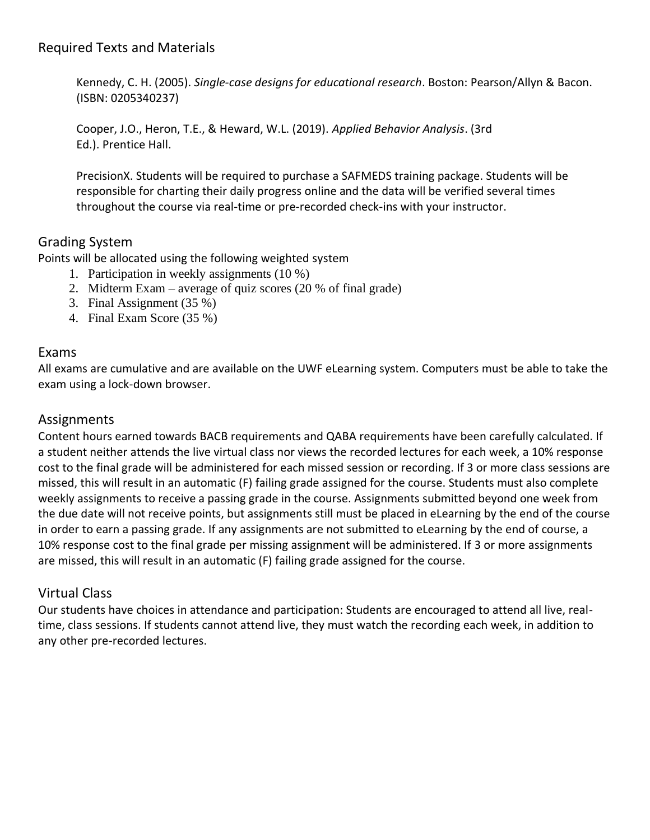Kennedy, C. H. (2005). *Single-case designs for educational research*. Boston: Pearson/Allyn & Bacon. (ISBN: 0205340237)

Cooper, J.O., Heron, T.E., & Heward, W.L. (2019). *Applied Behavior Analysis*. (3rd Ed.). Prentice Hall.

PrecisionX. Students will be required to purchase a SAFMEDS training package. Students will be responsible for charting their daily progress online and the data will be verified several times throughout the course via real-time or pre-recorded check-ins with your instructor.

# Grading System

Points will be allocated using the following weighted system

- 1. Participation in weekly assignments (10 %)
- 2. Midterm Exam average of quiz scores (20 % of final grade)
- 3. Final Assignment (35 %)
- 4. Final Exam Score (35 %)

#### Exams

All exams are cumulative and are available on the UWF eLearning system. Computers must be able to take the exam using a lock-down browser.

### Assignments

Content hours earned towards BACB requirements and QABA requirements have been carefully calculated. If a student neither attends the live virtual class nor views the recorded lectures for each week, a 10% response cost to the final grade will be administered for each missed session or recording. If 3 or more class sessions are missed, this will result in an automatic (F) failing grade assigned for the course. Students must also complete weekly assignments to receive a passing grade in the course. Assignments submitted beyond one week from the due date will not receive points, but assignments still must be placed in eLearning by the end of the course in order to earn a passing grade. If any assignments are not submitted to eLearning by the end of course, a 10% response cost to the final grade per missing assignment will be administered. If 3 or more assignments are missed, this will result in an automatic (F) failing grade assigned for the course.

# Virtual Class

Our students have choices in attendance and participation: Students are encouraged to attend all live, realtime, class sessions. If students cannot attend live, they must watch the recording each week, in addition to any other pre-recorded lectures.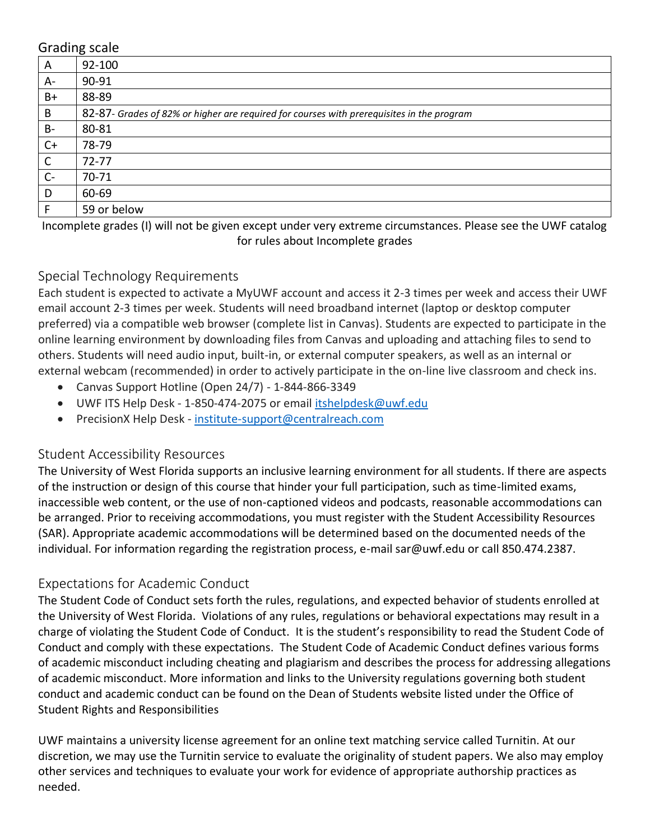#### Grading scale

| A            | $\tilde{\phantom{a}}$<br>92-100                                                           |
|--------------|-------------------------------------------------------------------------------------------|
| A-           | 90-91                                                                                     |
| $B+$         | 88-89                                                                                     |
| B            | 82-87- Grades of 82% or higher are required for courses with prerequisites in the program |
| $B-$         | 80-81                                                                                     |
| $C+$         | 78-79                                                                                     |
| $\mathsf{C}$ | $72 - 77$                                                                                 |
| $C -$        | 70-71                                                                                     |
| D            | 60-69                                                                                     |
| F            | 59 or below                                                                               |

Incomplete grades (I) will not be given except under very extreme circumstances. Please see the UWF catalog for rules about Incomplete grades

#### Special Technology Requirements

Each student is expected to activate a MyUWF account and access it 2-3 times per week and access their UWF email account 2-3 times per week. Students will need broadband internet (laptop or desktop computer preferred) via a compatible web browser (complete list in Canvas). Students are expected to participate in the online learning environment by downloading files from Canvas and uploading and attaching files to send to others. Students will need audio input, built-in, or external computer speakers, as well as an internal or external webcam (recommended) in order to actively participate in the on-line live classroom and check ins.

- Canvas Support Hotline (Open 24/7) 1-844-866-3349
- UWF ITS Help Desk 1-850-474-2075 or email [itshelpdesk@uwf.edu](mailto:itshelpdesk@uwf.edu)
- PrecisionX Help Desk [institute-support@centralreach.com](mailto:institute-support@centralreach.com)

#### Student Accessibility Resources

The University of West Florida supports an inclusive learning environment for all students. If there are aspects of the instruction or design of this course that hinder your full participation, such as time-limited exams, inaccessible web content, or the use of non-captioned videos and podcasts, reasonable accommodations can be arranged. Prior to receiving accommodations, you must register with the Student Accessibility Resources (SAR). Appropriate academic accommodations will be determined based on the documented needs of the individual. For information regarding the registration process, e-mail sar@uwf.edu or call 850.474.2387.

#### Expectations for Academic Conduct

The Student Code of Conduct sets forth the rules, regulations, and expected behavior of students enrolled at the University of West Florida. Violations of any rules, regulations or behavioral expectations may result in a charge of violating the Student Code of Conduct. It is the student's responsibility to read the Student Code of Conduct and comply with these expectations. The Student Code of Academic Conduct defines various forms of academic misconduct including cheating and plagiarism and describes the process for addressing allegations of academic misconduct. More information and links to the University regulations governing both student conduct and academic conduct can be found on the Dean of Students website listed under the Office of Student Rights and Responsibilities

UWF maintains a university license agreement for an online text matching service called Turnitin. At our discretion, we may use the Turnitin service to evaluate the originality of student papers. We also may employ other services and techniques to evaluate your work for evidence of appropriate authorship practices as needed.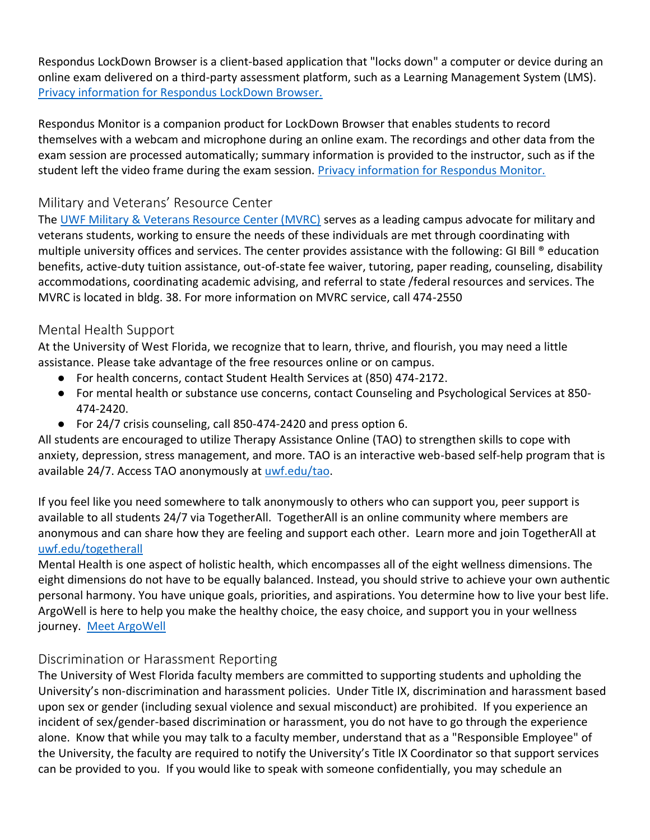Respondus LockDown Browser is a client-based application that "locks down" a computer or device during an online exam delivered on a third-party assessment platform, such as a Learning Management System (LMS). [Privacy information for Respondus LockDown Browser.](https://web.respondus.com/privacy/privacy-additional-monitor/)

Respondus Monitor is a companion product for LockDown Browser that enables students to record themselves with a webcam and microphone during an online exam. The recordings and other data from the exam session are processed automatically; summary information is provided to the instructor, such as if the student left the video frame during the exam session. [Privacy information for Respondus Monitor.](https://web.respondus.com/privacy/privacy-additional-monitor/)

# Military and Veterans' Resource Center

The [UWF Military & Veterans Resource Center \(MVRC\)](https://uwf.edu/academic-affairs/departments/military-veteran-resource-center/) serves as a leading campus advocate for military and veterans students, working to ensure the needs of these individuals are met through coordinating with multiple university offices and services. The center provides assistance with the following: GI Bill ® education benefits, active-duty tuition assistance, out-of-state fee waiver, tutoring, paper reading, counseling, disability accommodations, coordinating academic advising, and referral to state /federal resources and services. The MVRC is located in bldg. 38. For more information on MVRC service, call 474-2550

#### Mental Health Support

At the University of West Florida, we recognize that to learn, thrive, and flourish, you may need a little assistance. Please take advantage of the free resources online or on campus.

- For health concerns, contact Student Health Services at (850) 474-2172.
- For mental health or substance use concerns, contact Counseling and Psychological Services at 850- 474-2420.
- For 24/7 crisis counseling, call 850-474-2420 and press option 6.

All students are encouraged to utilize Therapy Assistance Online (TAO) to strengthen skills to cope with anxiety, depression, stress management, and more. TAO is an interactive web-based self-help program that is available 24/7. Access TAO anonymously at [uwf.edu/tao.](http://uwf.edu/tao)

If you feel like you need somewhere to talk anonymously to others who can support you, peer support is available to all students 24/7 via TogetherAll. TogetherAll is an online community where members are anonymous and can share how they are feeling and support each other. Learn more and join TogetherAll at [uwf.edu/togetherall](http://uwf.edu/togetherall)

Mental Health is one aspect of holistic health, which encompasses all of the eight wellness dimensions. The eight dimensions do not have to be equally balanced. Instead, you should strive to achieve your own authentic personal harmony. You have unique goals, priorities, and aspirations. You determine how to live your best life. ArgoWell is here to help you make the healthy choice, the easy choice, and support you in your wellness journey. [Meet ArgoWell](https://uwf.edu/go/argowell/)

# Discrimination or Harassment Reporting

The University of West Florida faculty members are committed to supporting students and upholding the University's non-discrimination and harassment policies. Under Title IX, discrimination and harassment based upon sex or gender (including sexual violence and sexual misconduct) are prohibited. If you experience an incident of sex/gender-based discrimination or harassment, you do not have to go through the experience alone. Know that while you may talk to a faculty member, understand that as a "Responsible Employee" of the University, the faculty are required to notify the University's Title IX Coordinator so that support services can be provided to you. If you would like to speak with someone confidentially, you may schedule an